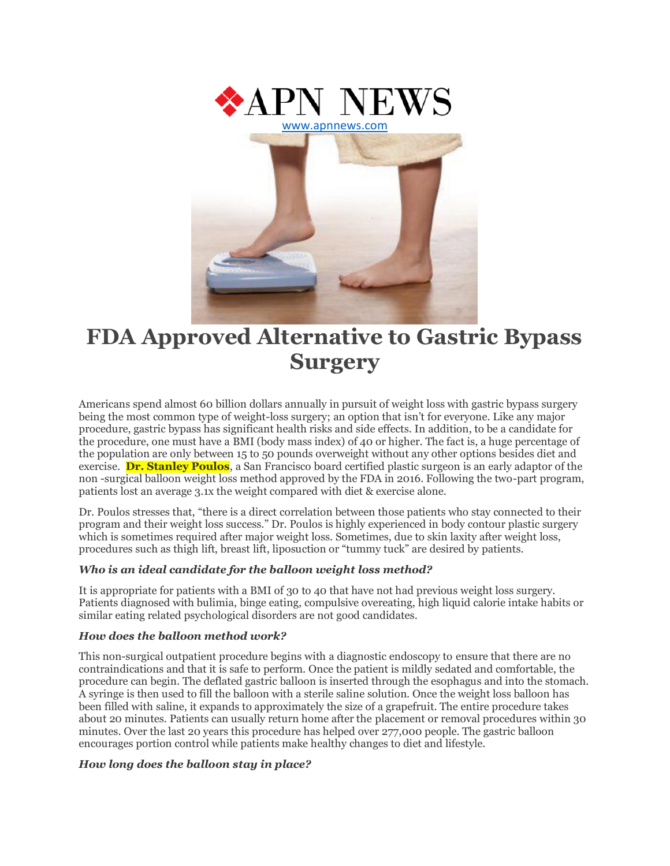

# **FDA Approved Alternative to Gastric Bypass Surgery**

Americans spend almost 60 billion dollars annually in pursuit of weight loss with gastric bypass surgery being the most common type of weight-loss surgery; an option that isn't for everyone. Like any major procedure, gastric bypass has significant health risks and side effects. In addition, to be a candidate for the procedure, one must have a BMI (body mass index) of 40 or higher. The fact is, a huge percentage of the population are only between 15 to 50 pounds overweight without any other options besides diet and exercise. **Dr. Stanley Poulos**, a San Francisco board certified plastic surgeon is an early adaptor of the non -surgical balloon weight loss method approved by the FDA in 2016. Following the two-part program, patients lost an average 3.1x the weight compared with diet & exercise alone.

Dr. Poulos stresses that, "there is a direct correlation between those patients who stay connected to their program and their weight loss success." Dr. Poulos is highly experienced in body contour plastic surgery which is sometimes required after major weight loss. Sometimes, due to skin laxity after weight loss, procedures such as thigh lift, breast lift, liposuction or "tummy tuck" are desired by patients.

### *Who is an ideal candidate for the balloon weight loss method?*

It is appropriate for patients with a BMI of 30 to 40 that have not had previous weight loss surgery. Patients diagnosed with bulimia, binge eating, compulsive overeating, high liquid calorie intake habits or similar eating related psychological disorders are not good candidates.

### *How does the balloon method work?*

This non-surgical outpatient procedure begins with a diagnostic endoscopy to ensure that there are no contraindications and that it is safe to perform. Once the patient is mildly sedated and comfortable, the procedure can begin. The deflated gastric balloon is inserted through the esophagus and into the stomach. A syringe is then used to fill the balloon with a sterile saline solution. Once the weight loss balloon has been filled with saline, it expands to approximately the size of a grapefruit. The entire procedure takes about 20 minutes. Patients can usually return home after the placement or removal procedures within 30 minutes. Over the last 20 years this procedure has helped over 277,000 people. The gastric balloon encourages portion control while patients make healthy changes to diet and lifestyle.

### *How long does the balloon stay in place?*